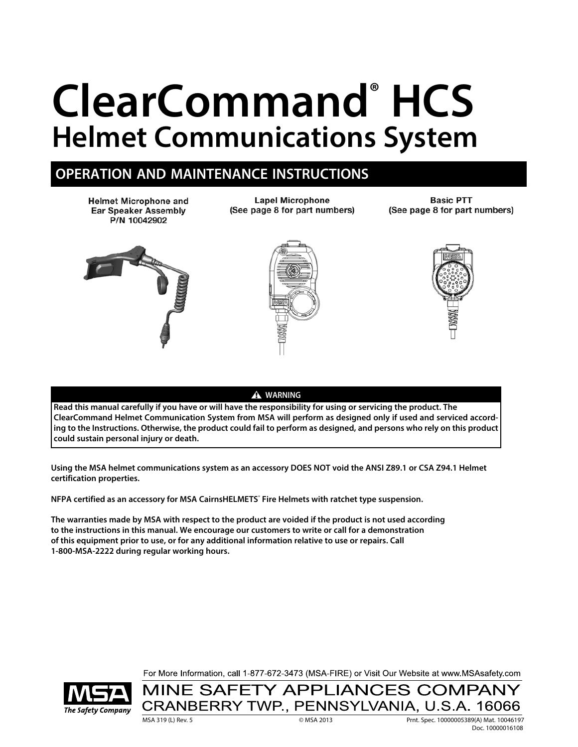# **ClearCommand® HCS Helmet Communications System**

# **OPERATION AND MAINTENANCE INSTRUCTIONS**

**Helmet Microphone and Ear Speaker Assembly** P/N 10042902

**Lapel Microphone** (See page 8 for part numbers)

**Basic PTT** (See page 8 for part numbers)







A WARNING

**Read this manual carefully if you have or will have the responsibility for using or servicing the product. The ClearCommand Helmet Communication System from MSA will perform as designed only if used and serviced according to the Instructions. Otherwise, the product could fail to perform as designed, and persons who rely on this product could sustain personal injury or death.**

**Using the MSA helmet communications system as an accessory DOES NOT void the ANSI Z89.1 or CSA Z94.1 Helmet certification properties.**

**NFPA certified as an accessory for MSA CairnsHELMETS® Fire Helmets with ratchet type suspension.**

**The warranties made by MSA with respect to the product are voided if the product is not used according to the instructions in this manual. We encourage our customers to write or call for a demonstration of this equipment prior to use, or for any additional information relative to use or repairs. Call 1-800-MSA-2222 during regular working hours.**

For More Information, call 1-877-672-3473 (MSA-FIRE) or Visit Our Website at www.MSAsafety.com



MINE SAFETY APPLIANCES COMPANY CRANBERRY TWP., PENNSYLVANIA, U.S.A. 16066

MSA 319 (L) Rev. 5 © MSA 2013 Prnt. Spec. 10000005389(A) Mat. 10046197 Doc. 10000016108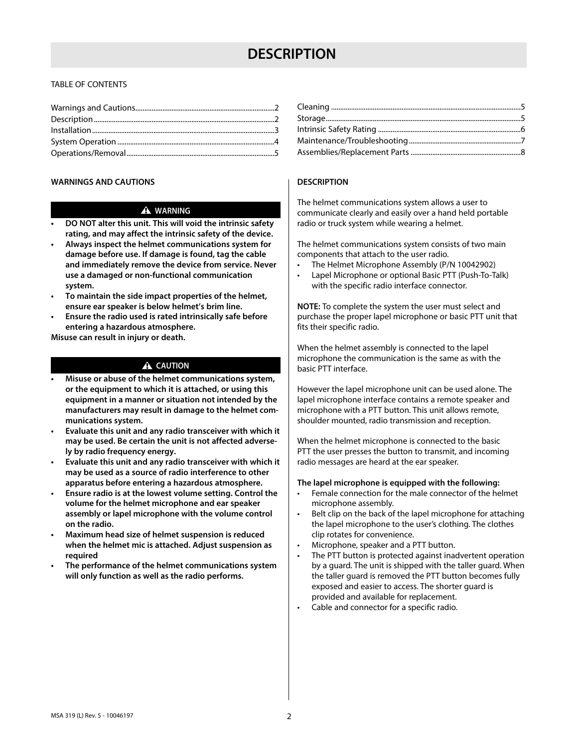# **DESCRIPTION**

# TABLE OF CONTENTS

#### **WARNINGS AND CAUTIONS**

# A WARNING

- **DO NOT alter this unit. This will void the intrinsic safety rating, and may affect the intrinsic safety of the device.**
- **Always inspect the helmet communications system for damage before use. If damage is found, tag the cable and immediately remove the device from service. Never use a damaged or non-functional communication system.**
- **To maintain the side impact properties of the helmet, ensure ear speaker is below helmet's brim line.**
- **Ensure the radio used is rated intrinsically safe before entering a hazardous atmosphere.**

**Misuse can result in injury or death.**

# A CAUTION

- **Misuse or abuse of the helmet communications system, or the equipment to which it is attached, or using this equipment in a manner or situation not intended by the manufacturers may result in damage to the helmet communications system.**
- **Evaluate this unit and any radio transceiver with which it may be used. Be certain the unit is not affected adversely by radio frequency energy.**
- **Evaluate this unit and any radio transceiver with which it may be used as a source of radio interference to other apparatus before entering a hazardous atmosphere.**
- **Ensure radio is at the lowest volume setting. Control the volume for the helmet microphone and ear speaker assembly or lapel microphone with the volume control on the radio.**
- **Maximum head size of helmet suspension is reduced when the helmet mic is attached. Adjust suspension as required**
- **The performance of the helmet communications system will only function as well as the radio performs.**

# **DESCRIPTION**

The helmet communications system allows a user to communicate clearly and easily over a hand held portable radio or truck system while wearing a helmet.

The helmet communications system consists of two main components that attach to the user radio.

- The Helmet Microphone Assembly (P/N 10042902)
- Lapel Microphone or optional Basic PTT (Push-To-Talk) with the specific radio interface connector.

**NOTE:** To complete the system the user must select and purchase the proper lapel microphone or basic PTT unit that fits their specific radio.

When the helmet assembly is connected to the lapel microphone the communication is the same as with the basic PTT interface.

However the lapel microphone unit can be used alone. The lapel microphone interface contains a remote speaker and microphone with a PTT button. This unit allows remote, shoulder mounted, radio transmission and reception.

When the helmet microphone is connected to the basic PTT the user presses the button to transmit, and incoming radio messages are heard at the ear speaker.

#### **The lapel microphone is equipped with the following:**

- Female connection for the male connector of the helmet microphone assembly.
- Belt clip on the back of the lapel microphone for attaching the lapel microphone to the user's clothing. The clothes clip rotates for convenience.
- Microphone, speaker and a PTT button.
- The PTT button is protected against inadvertent operation by a guard. The unit is shipped with the taller guard. When the taller guard is removed the PTT button becomes fully exposed and easier to access. The shorter guard is provided and available for replacement.
- Cable and connector for a specific radio.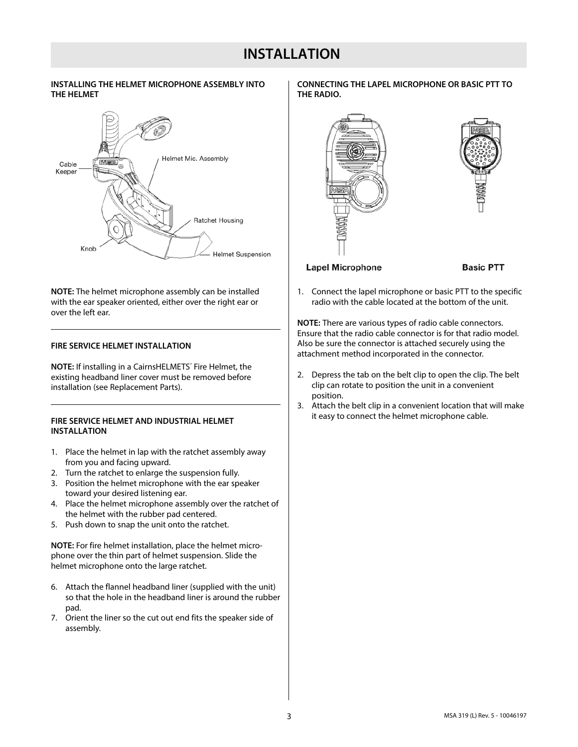# **INSTALLATION**

# **INSTALLING THE HELMET MICROPHONE ASSEMBLY INTO THE HELMET**



**NOTE:** The helmet microphone assembly can be installed with the ear speaker oriented, either over the right ear or over the left ear.

#### **FIRE SERVICE HELMET INSTALLATION**

**NOTE:** If installing in a CairnsHELMETS° Fire Helmet, the existing headband liner cover must be removed before installation (see Replacement Parts).

# **FIRE SERVICE HELMET AND INDUSTRIAL HELMET INSTALLATION**

- 1. Place the helmet in lap with the ratchet assembly away from you and facing upward.
- 2. Turn the ratchet to enlarge the suspension fully.
- 3. Position the helmet microphone with the ear speaker toward your desired listening ear.
- 4. Place the helmet microphone assembly over the ratchet of the helmet with the rubber pad centered.
- 5. Push down to snap the unit onto the ratchet.

**NOTE:** For fire helmet installation, place the helmet microphone over the thin part of helmet suspension. Slide the helmet microphone onto the large ratchet.

- 6. Attach the flannel headband liner (supplied with the unit) so that the hole in the headband liner is around the rubber pad.
- 7. Orient the liner so the cut out end fits the speaker side of assembly.

**CONNECTING THE LAPEL MICROPHONE OR BASIC PTT TO THE RADIO.**



1. Connect the lapel microphone or basic PTT to the specific radio with the cable located at the bottom of the unit.

**NOTE:** There are various types of radio cable connectors. Ensure that the radio cable connector is for that radio model. Also be sure the connector is attached securely using the attachment method incorporated in the connector.

- 2. Depress the tab on the belt clip to open the clip. The belt clip can rotate to position the unit in a convenient position.
- 3. Attach the belt clip in a convenient location that will make it easy to connect the helmet microphone cable.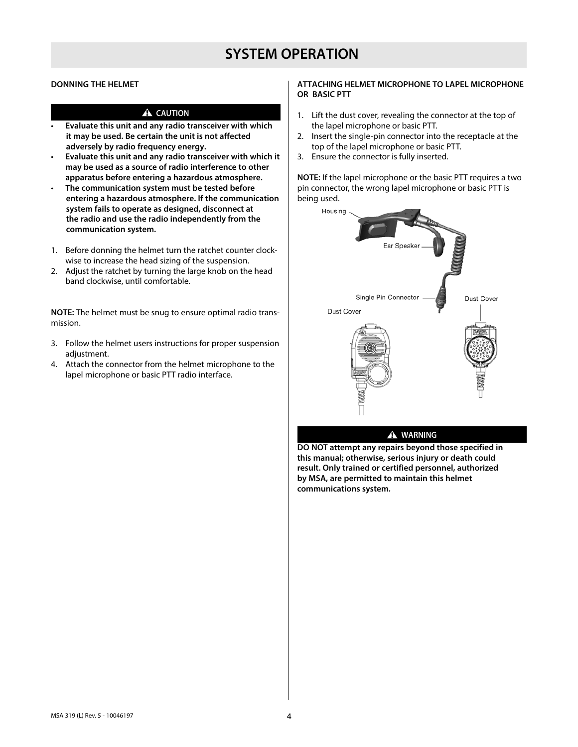# **SYSTEM OPERATION**

# **DONNING THE HELMET**

# A CAUTION

- **Evaluate this unit and any radio transceiver with which it may be used. Be certain the unit is not affected adversely by radio frequency energy.**
- **Evaluate this unit and any radio transceiver with which it may be used as a source of radio interference to other apparatus before entering a hazardous atmosphere.**
- **The communication system must be tested before entering a hazardous atmosphere. If the communication system fails to operate as designed, disconnect at the radio and use the radio independently from the communication system.**
- 1. Before donning the helmet turn the ratchet counter clockwise to increase the head sizing of the suspension.
- 2. Adjust the ratchet by turning the large knob on the head band clockwise, until comfortable.

**NOTE:** The helmet must be snug to ensure optimal radio transmission.

- 3. Follow the helmet users instructions for proper suspension adjustment.
- 4. Attach the connector from the helmet microphone to the lapel microphone or basic PTT radio interface.

# **ATTACHING HELMET MICROPHONE TO LAPEL MICROPHONE OR BASIC PTT**

- 1. Lift the dust cover, revealing the connector at the top of the lapel microphone or basic PTT.
- 2. Insert the single-pin connector into the receptacle at the top of the lapel microphone or basic PTT.
- 3. Ensure the connector is fully inserted.

**NOTE:** If the lapel microphone or the basic PTT requires a two pin connector, the wrong lapel microphone or basic PTT is being used.



## $\triangle$  WARNING

**DO NOT attempt any repairs beyond those specified in this manual; otherwise, serious injury or death could result. Only trained or certified personnel, authorized by MSA, are permitted to maintain this helmet communications system.**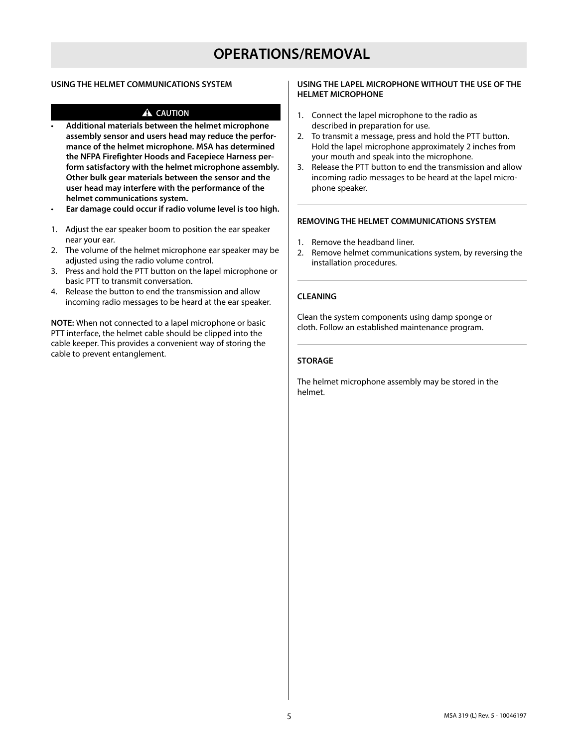# **OPERATIONS/REMOVAL**

# **USING THE HELMET COMMUNICATIONS SYSTEM**

# A CAUTION

- **Additional materials between the helmet microphone assembly sensor and users head may reduce the performance of the helmet microphone. MSA has determined the NFPA Firefighter Hoods and Facepiece Harness perform satisfactory with the helmet microphone assembly. Other bulk gear materials between the sensor and the user head may interfere with the performance of the helmet communications system.**
- **Ear damage could occur if radio volume level is too high.**
- 1. Adjust the ear speaker boom to position the ear speaker near your ear.
- 2. The volume of the helmet microphone ear speaker may be adjusted using the radio volume control.
- 3. Press and hold the PTT button on the lapel microphone or basic PTT to transmit conversation.
- 4. Release the button to end the transmission and allow incoming radio messages to be heard at the ear speaker.

**NOTE:** When not connected to a lapel microphone or basic PTT interface, the helmet cable should be clipped into the cable keeper. This provides a convenient way of storing the cable to prevent entanglement.

# **USING THE LAPEL MICROPHONE WITHOUT THE USE OF THE HELMET MICROPHONE**

- 1. Connect the lapel microphone to the radio as described in preparation for use.
- 2. To transmit a message, press and hold the PTT button. Hold the lapel microphone approximately 2 inches from your mouth and speak into the microphone.
- 3. Release the PTT button to end the transmission and allow incoming radio messages to be heard at the lapel microphone speaker.

#### **REMOVING THE HELMET COMMUNICATIONS SYSTEM**

- 1. Remove the headband liner.
- 2. Remove helmet communications system, by reversing the installation procedures.

#### **CLEANING**

Clean the system components using damp sponge or cloth. Follow an established maintenance program.

#### **STORAGE**

The helmet microphone assembly may be stored in the helmet.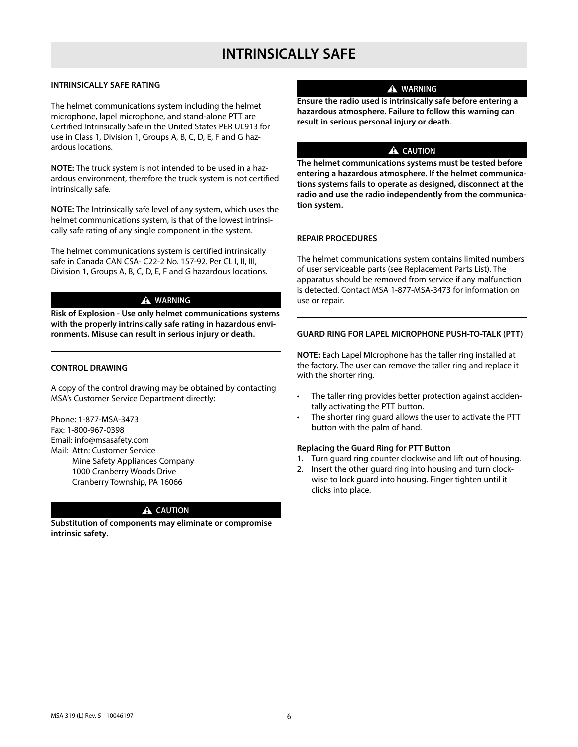# **INTRINSICALLY SAFE RATING**

The helmet communications system including the helmet microphone, lapel microphone, and stand-alone PTT are Certified Intrinsically Safe in the United States PER UL913 for use in Class 1, Division 1, Groups A, B, C, D, E, F and G hazardous locations.

**NOTE:** The truck system is not intended to be used in a hazardous environment, therefore the truck system is not certified intrinsically safe.

**NOTE:** The Intrinsically safe level of any system, which uses the helmet communications system, is that of the lowest intrinsically safe rating of any single component in the system.

The helmet communications system is certified intrinsically safe in Canada CAN CSA- C22-2 No. 157-92. Per CL I, II, III, Division 1, Groups A, B, C, D, E, F and G hazardous locations.

# $\triangle$  WARNING

**Risk of Explosion - Use only helmet communications systems with the properly intrinsically safe rating in hazardous environments. Misuse can result in serious injury or death.**

# **CONTROL DRAWING**

A copy of the control drawing may be obtained by contacting MSA's Customer Service Department directly:

Phone: 1-877-MSA-3473 Fax: 1-800-967-0398 Email: info@msasafety.com Mail: Attn: Customer Service Mine Safety Appliances Company 1000 Cranberry Woods Drive Cranberry Township, PA 16066

# A CAUTION

**Substitution of components may eliminate or compromise intrinsic safety.**

# $\triangle$  WARNING

**Ensure the radio used is intrinsically safe before entering a hazardous atmosphere. Failure to follow this warning can result in serious personal injury or death.**

# A CAUTION

**The helmet communications systems must be tested before entering a hazardous atmosphere. If the helmet communications systems fails to operate as designed, disconnect at the radio and use the radio independently from the communication system.**

# **REPAIR PROCEDURES**

The helmet communications system contains limited numbers of user serviceable parts (see Replacement Parts List). The apparatus should be removed from service if any malfunction is detected. Contact MSA 1-877-MSA-3473 for information on use or repair.

# **GUARD RING FOR LAPEL MICROPHONE PUSH-TO-TALK (PTT)**

**NOTE:** Each Lapel MIcrophone has the taller ring installed at the factory. The user can remove the taller ring and replace it with the shorter ring.

- The taller ring provides better protection against accidentally activating the PTT button.
- The shorter ring guard allows the user to activate the PTT button with the palm of hand.

# **Replacing the Guard Ring for PTT Button**

- 1. Turn guard ring counter clockwise and lift out of housing.
- 2. Insert the other guard ring into housing and turn clockwise to lock guard into housing. Finger tighten until it clicks into place.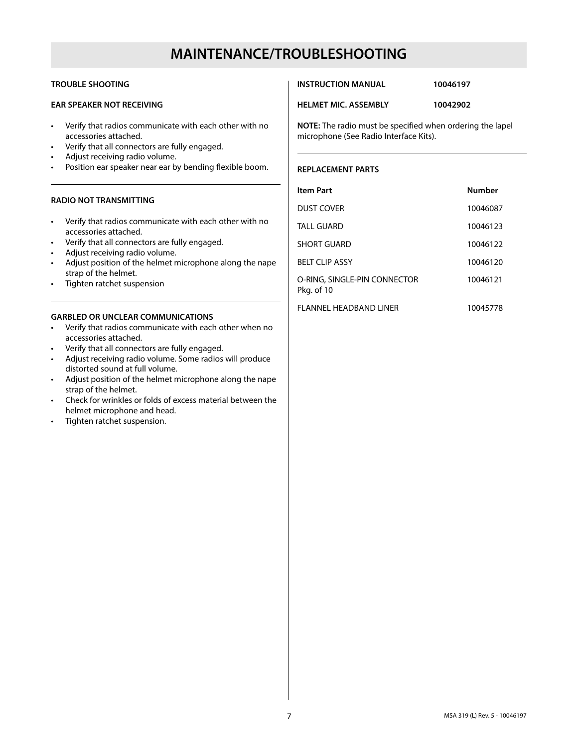# **MAINTENANCE/TROUBLESHOOTING**

# **TROUBLE SHOOTING**

# **EAR SPEAKER NOT RECEIVING**

- Verify that radios communicate with each other with no accessories attached.
- Verify that all connectors are fully engaged.
- Adjust receiving radio volume.
- Position ear speaker near ear by bending flexible boom.

# **RADIO NOT TRANSMITTING**

- Verify that radios communicate with each other with no accessories attached.
- Verify that all connectors are fully engaged.
- Adjust receiving radio volume.
- Adjust position of the helmet microphone along the nape strap of the helmet.
- Tighten ratchet suspension

# **GARBLED OR UNCLEAR COMMUNICATIONS**

- Verify that radios communicate with each other when no accessories attached.
- Verify that all connectors are fully engaged.
- Adjust receiving radio volume. Some radios will produce distorted sound at full volume.
- Adjust position of the helmet microphone along the nape strap of the helmet.
- Check for wrinkles or folds of excess material between the helmet microphone and head.
- Tighten ratchet suspension.

## **INSTRUCTION MANUAL 10046197**

**HELMET MIC. ASSEMBLY 10042902**

**NOTE:** The radio must be specified when ordering the lapel microphone (See Radio Interface Kits).

# **REPLACEMENT PARTS**

| <b>Item Part</b>                           | <b>Number</b> |
|--------------------------------------------|---------------|
| DUST COVER                                 | 10046087      |
| TALL GUARD                                 | 10046123      |
| <b>SHORT GUARD</b>                         | 10046122      |
| <b>BELT CLIP ASSY</b>                      | 10046120      |
| O-RING, SINGLE-PIN CONNECTOR<br>Pkg. of 10 | 10046121      |
| FLANNEL HEADBAND LINER                     | 10045778      |